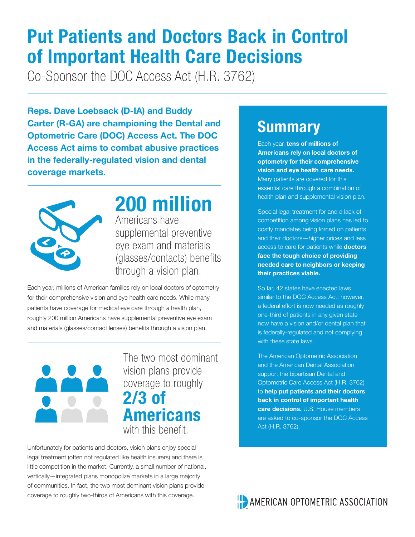# **Put Patients and Doctors Back in Control of Important Health Care Decisions**

Co-Sponsor the DOC Access Act (H.R. 3762)

**Reps. Dave Loebsack (D-IA) and Buddy Carter (R-GA) are championing the Dental and Optometric Care (DOC) Access Act. The DOC Access Act aims to combat abusive practices in the federally-regulated vision and dental coverage markets.** 



### **200 million**

Americans have supplemental preventive eye exam and materials (glasses/contacts) benefits through a vision plan.

Each year, millions of American families rely on local doctors of optometry for their comprehensive vision and eye health care needs. While many patients have coverage for medical eye care through a health plan, roughly 200 million Americans have supplemental preventive eye exam and materials (glasses/contact lenses) benefits through a vision plan.



The two most dominant vision plans provide coverage to roughly **2/3 of Americans** with this benefit.

Unfortunately for patients and doctors, vision plans enjoy special legal treatment (often not regulated like health insurers) and there is little competition in the market. Currently, a small number of national, vertically—integrated plans monopolize markets in a large majority of communities. In fact, the two most dominant vision plans provide coverage to roughly two-thirds of Americans with this coverage.

### **Summary**

Each year, **tens of millions of Americans rely on local doctors of optometry for their comprehensive vision and eye health care needs.** Many patients are covered for this essential care through a combination of health plan and supplemental vision plan.

Special legal treatment for and a lack of competition among vision plans has led to costly mandates being forced on patients and their doctors—higher prices and less access to care for patients while **doctors face the tough choice of providing needed care to neighbors or keeping their practices viable.**

So far, 42 states have enacted laws similar to the DOC Access Act; however, a federal effort is now needed as roughly one-third of patients in any given state now have a vision and/or dental plan that is federally-regulated and not complying with these state laws.

The American Optometric Association and the American Dental Association support the bipartisan Dental and Optometric Care Access Act (H.R. 3762) to **help put patients and their doctors back in control of important health care decisions.** U.S. House members are asked to co-sponsor the DOC Access Act (H.R. 3762).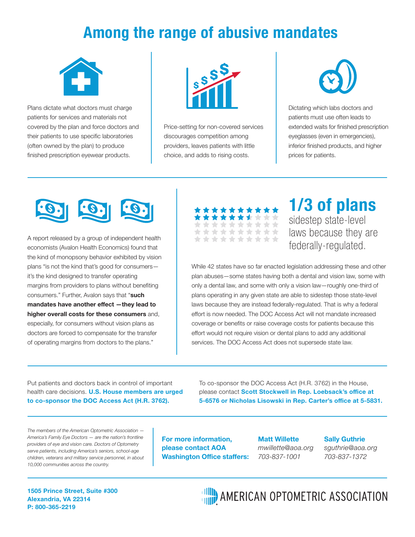### **Among the range of abusive mandates**



Plans dictate what doctors must charge patients for services and materials not covered by the plan and force doctors and their patients to use specific laboratories (often owned by the plan) to produce finished prescription eyewear products.



Price-setting for non-covered services discourages competition among providers, leaves patients with little choice, and adds to rising costs.



Dictating which labs doctors and patients must use often leads to extended waits for finished prescription eyeglasses (even in emergencies), inferior finished products, and higher prices for patients.



A report released by a group of independent health economists (Avalon Health Economics) found that the kind of monopsony behavior exhibited by vision plans "is not the kind that's good for consumers it's the kind designed to transfer operating margins from providers to plans without benefiting consumers." Further, Avalon says that "**such mandates have another effect —they lead to higher overall costs for these consumers** and, especially, for consumers without vision plans as doctors are forced to compensate for the transfer of operating margins from doctors to the plans."

| **********            |  |  |  |  |
|-----------------------|--|--|--|--|
|                       |  |  |  |  |
| **********            |  |  |  |  |
|                       |  |  |  |  |
| **********            |  |  |  |  |
|                       |  |  |  |  |
| **********            |  |  |  |  |
|                       |  |  |  |  |
| * * * * * * * * * * * |  |  |  |  |

#### **1/3 of plans** sidestep state-level laws because they are federally-regulated.

While 42 states have so far enacted legislation addressing these and other plan abuses—some states having both a dental and vision law, some with only a dental law, and some with only a vision law—roughly one-third of plans operating in any given state are able to sidestep those state-level laws because they are instead federally-regulated. That is why a federal effort is now needed. The DOC Access Act will not mandate increased coverage or benefits or raise coverage costs for patients because this effort would not require vision or dental plans to add any additional services. The DOC Access Act does not supersede state law.

Put patients and doctors back in control of important health care decisions. **U.S. House members are urged to co-sponsor the DOC Access Act (H.R. 3762).**

To co-sponsor the DOC Access Act (H.R. 3762) in the House, please contact **Scott Stockwell in Rep. Loebsack's office at 5-6576 or Nicholas Lisowski in Rep. Carter's office at 5-5831.**

*The members of the American Optometric Association — America's Family Eye Doctors — are the nation's frontline providers of eye and vision care. Doctors of Optometry serve patients, including America's seniors, school-age children, veterans and military service personnel, in about 10,000 communities across the country.* 

**For more information, please contact AOA Washington Office staffers:**

**Matt Willette**  *mwillette@aoa.org 703-837-1001* 

**Sally Guthrie**  *sguthrie@aoa.org 703-837-1372*

**1505 Prince Street, Suite #300 Alexandria, VA 22314 P: 800-365-2219** 

**HILD** AMERICAN OPTOMETRIC ASSOCIATION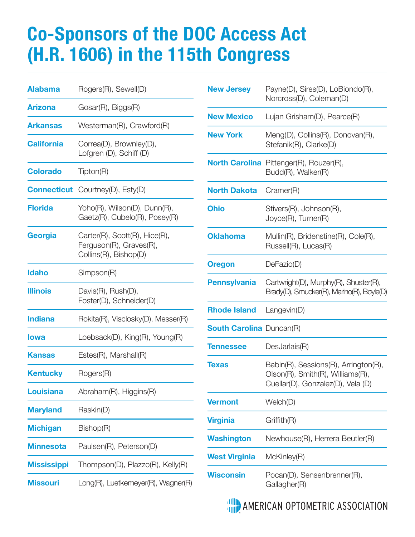# **Co-Sponsors of the DOC Access Act (H.R. 1606) in the 115th Congress**

| <b>Alabama</b>     | Rogers(R), Sewell(D)                                                              |  |  |
|--------------------|-----------------------------------------------------------------------------------|--|--|
| Arizona            | Gosar(R), Biggs(R)                                                                |  |  |
| <b>Arkansas</b>    | Westerman(R), Crawford(R)                                                         |  |  |
| <b>California</b>  | Correa(D), Brownley(D),<br>Lofgren (D), Schiff (D)                                |  |  |
| <b>Colorado</b>    | Tipton(R)                                                                         |  |  |
|                    | <b>Connecticut</b> Courtney(D), Esty(D)                                           |  |  |
| <b>Florida</b>     | Yoho(R), Wilson(D), Dunn(R),<br>Gaetz(R), Cubelo(R), Posey(R)                     |  |  |
| Georgia            | Carter(R), Scott(R), Hice(R),<br>Ferguson(R), Graves(R),<br>Collins(R), Bishop(D) |  |  |
| <b>Idaho</b>       | Simpson(R)                                                                        |  |  |
| <b>Illinois</b>    | Davis(R), Rush(D),<br>Foster(D), Schneider(D)                                     |  |  |
| <b>Indiana</b>     | Rokita(R), Visclosky(D), Messer(R)                                                |  |  |
| lowa               | Loebsack(D), King(R), Young(R)                                                    |  |  |
| Kansas             | $Estes(R)$ , Marshall $(R)$                                                       |  |  |
| <b>Kentucky</b>    | Rogers(R)                                                                         |  |  |
| <b>Louisiana</b>   | Abraham(R), Higgins(R)                                                            |  |  |
| <b>Maryland</b>    | Raskin(D)                                                                         |  |  |
| <b>Michigan</b>    | Bishop(R)                                                                         |  |  |
| <b>Minnesota</b>   | Paulsen(R), Peterson(D)                                                           |  |  |
| <b>Mississippi</b> | Thompson(D), Plazzo(R), Kelly(R)                                                  |  |  |
| <b>Missouri</b>    | Long(R), Luetkemeyer(R), Wagner(R)                                                |  |  |

| <b>New Jersey</b>               | Payne(D), Sires(D), LoBiondo(R),<br>Norcross(D), Coleman(D)                                                   |
|---------------------------------|---------------------------------------------------------------------------------------------------------------|
| <b>New Mexico</b>               | Lujan Grisham(D), Pearce(R)                                                                                   |
| <b>New York</b>                 | Meng(D), Collins(R), Donovan(R),<br>Stefanik(R), Clarke(D)                                                    |
|                                 | <b>North Carolina</b> Pittenger(R), Rouzer(R),<br>Budd(R), Walker(R)                                          |
| <b>North Dakota</b>             | Cramer(R)                                                                                                     |
| <b>Ohio</b>                     | Stivers(R), Johnson(R),<br>Joyce(R), Turner(R)                                                                |
| <b>Oklahoma</b>                 | Mullin(R), Bridenstine(R), Cole(R),<br>Russell(R), Lucas(R)                                                   |
| <b>Oregon</b>                   | DeFazio(D)                                                                                                    |
| <b>Pennsylvania</b>             | Cartwright(D), Murphy(R), Shuster(R),<br>Brady(D), Smucker(R), Marino(R), Boyle(D)                            |
| <b>Rhode Island</b>             | Langevin(D)                                                                                                   |
| <b>South Carolina</b> Duncan(R) |                                                                                                               |
| <b>Tennessee</b>                | DesJarlais(R)                                                                                                 |
| <b>Texas</b>                    | Babin(R), Sessions(R), Arrington(R),<br>Olson(R), Smith(R), Williams(R),<br>Cuellar(D), Gonzalez(D), Vela (D) |
| <b>Vermont</b>                  | Welch(D)                                                                                                      |
| <b>Virginia</b>                 | Griffith(R)                                                                                                   |
| <b>Washington</b>               | Newhouse(R), Herrera Beutler(R)                                                                               |
| <b>West Virginia</b>            | McKinley(R)                                                                                                   |
| <b>Wisconsin</b>                | Pocan(D), Sensenbrenner(R),<br>Gallagher(R)                                                                   |